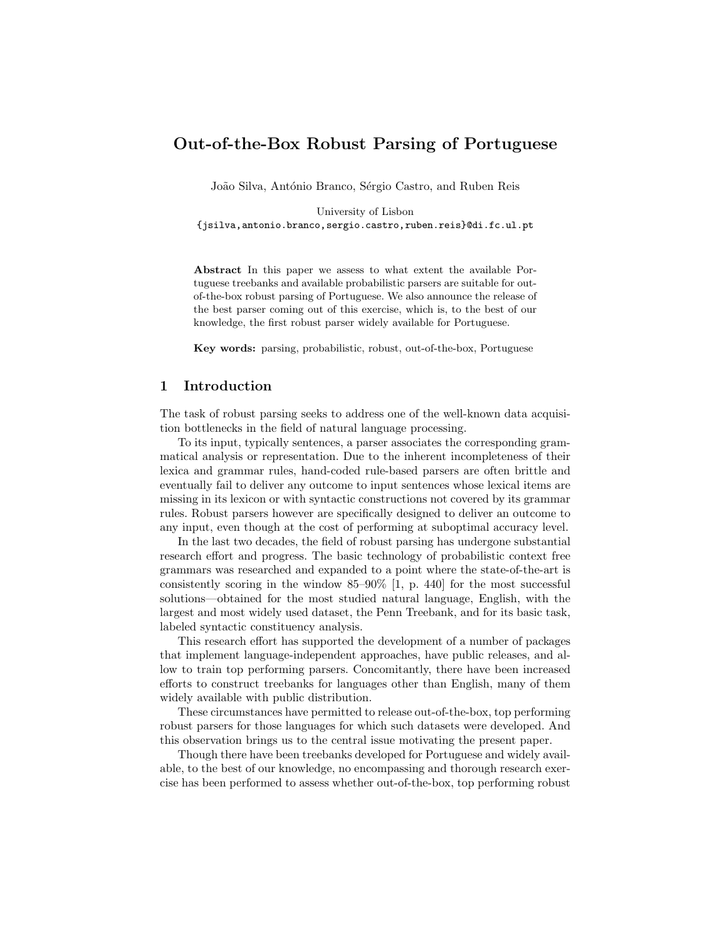# Out-of-the-Box Robust Parsing of Portuguese

João Silva, António Branco, Sérgio Castro, and Ruben Reis

University of Lisbon

{jsilva,antonio.branco,sergio.castro,ruben.reis}@di.fc.ul.pt

Abstract In this paper we assess to what extent the available Portuguese treebanks and available probabilistic parsers are suitable for outof-the-box robust parsing of Portuguese. We also announce the release of the best parser coming out of this exercise, which is, to the best of our knowledge, the first robust parser widely available for Portuguese.

Key words: parsing, probabilistic, robust, out-of-the-box, Portuguese

## 1 Introduction

The task of robust parsing seeks to address one of the well-known data acquisition bottlenecks in the field of natural language processing.

To its input, typically sentences, a parser associates the corresponding grammatical analysis or representation. Due to the inherent incompleteness of their lexica and grammar rules, hand-coded rule-based parsers are often brittle and eventually fail to deliver any outcome to input sentences whose lexical items are missing in its lexicon or with syntactic constructions not covered by its grammar rules. Robust parsers however are specifically designed to deliver an outcome to any input, even though at the cost of performing at suboptimal accuracy level.

In the last two decades, the field of robust parsing has undergone substantial research effort and progress. The basic technology of probabilistic context free grammars was researched and expanded to a point where the state-of-the-art is consistently scoring in the window 85–90% [1, p. 440] for the most successful solutions—obtained for the most studied natural language, English, with the largest and most widely used dataset, the Penn Treebank, and for its basic task, labeled syntactic constituency analysis.

This research effort has supported the development of a number of packages that implement language-independent approaches, have public releases, and allow to train top performing parsers. Concomitantly, there have been increased efforts to construct treebanks for languages other than English, many of them widely available with public distribution.

These circumstances have permitted to release out-of-the-box, top performing robust parsers for those languages for which such datasets were developed. And this observation brings us to the central issue motivating the present paper.

Though there have been treebanks developed for Portuguese and widely available, to the best of our knowledge, no encompassing and thorough research exercise has been performed to assess whether out-of-the-box, top performing robust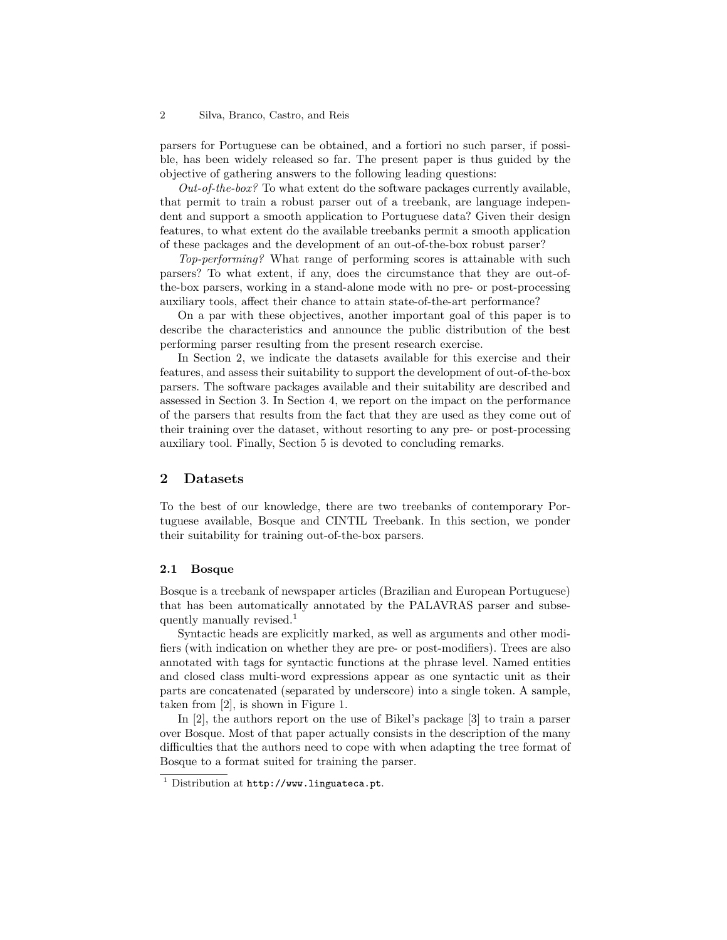#### 2 Silva, Branco, Castro, and Reis

parsers for Portuguese can be obtained, and a fortiori no such parser, if possible, has been widely released so far. The present paper is thus guided by the objective of gathering answers to the following leading questions:

*Out-of-the-box?* To what extent do the software packages currently available, that permit to train a robust parser out of a treebank, are language independent and support a smooth application to Portuguese data? Given their design features, to what extent do the available treebanks permit a smooth application of these packages and the development of an out-of-the-box robust parser?

*Top-performing?* What range of performing scores is attainable with such parsers? To what extent, if any, does the circumstance that they are out-ofthe-box parsers, working in a stand-alone mode with no pre- or post-processing auxiliary tools, affect their chance to attain state-of-the-art performance?

On a par with these objectives, another important goal of this paper is to describe the characteristics and announce the public distribution of the best performing parser resulting from the present research exercise.

In Section 2, we indicate the datasets available for this exercise and their features, and assess their suitability to support the development of out-of-the-box parsers. The software packages available and their suitability are described and assessed in Section 3. In Section 4, we report on the impact on the performance of the parsers that results from the fact that they are used as they come out of their training over the dataset, without resorting to any pre- or post-processing auxiliary tool. Finally, Section 5 is devoted to concluding remarks.

# 2 Datasets

To the best of our knowledge, there are two treebanks of contemporary Portuguese available, Bosque and CINTIL Treebank. In this section, we ponder their suitability for training out-of-the-box parsers.

#### 2.1 Bosque

Bosque is a treebank of newspaper articles (Brazilian and European Portuguese) that has been automatically annotated by the PALAVRAS parser and subsequently manually revised.<sup>1</sup>

Syntactic heads are explicitly marked, as well as arguments and other modifiers (with indication on whether they are pre- or post-modifiers). Trees are also annotated with tags for syntactic functions at the phrase level. Named entities and closed class multi-word expressions appear as one syntactic unit as their parts are concatenated (separated by underscore) into a single token. A sample, taken from [2], is shown in Figure 1.

In [2], the authors report on the use of Bikel's package [3] to train a parser over Bosque. Most of that paper actually consists in the description of the many difficulties that the authors need to cope with when adapting the tree format of Bosque to a format suited for training the parser.

<sup>&</sup>lt;sup>1</sup> Distribution at http://www.linguateca.pt.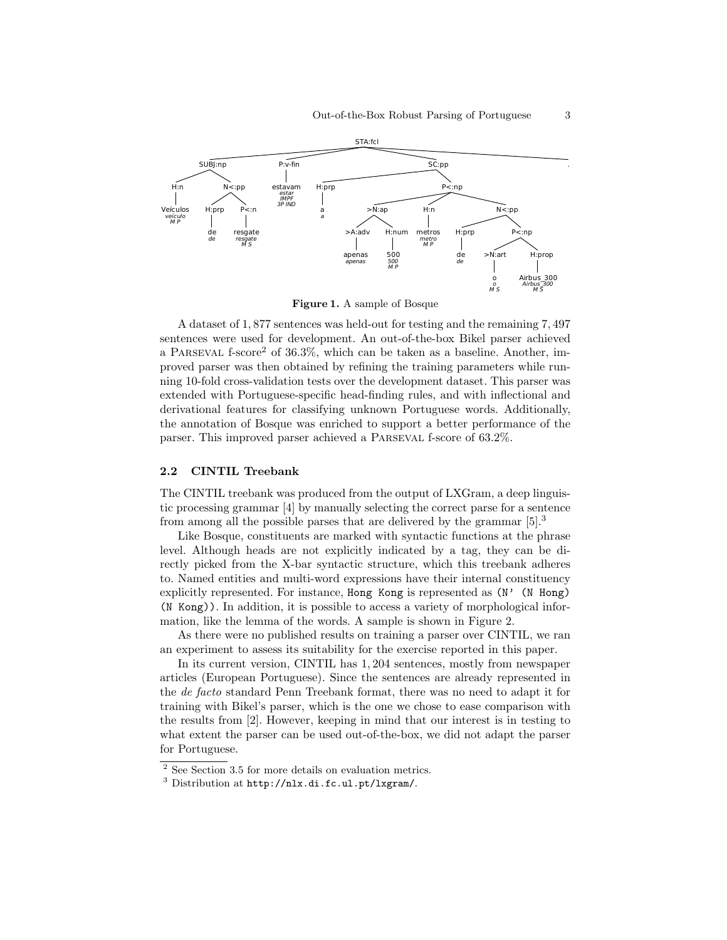

Figure 1. A sample of Bosque

A dataset of 1*,* 877 sentences was held-out for testing and the remaining 7*,* 497 sentences were used for development. An out-of-the-box Bikel parser achieved a Parseval f-score<sup>2</sup> of 36*.*3%, which can be taken as a baseline. Another, improved parser was then obtained by refining the training parameters while running 10-fold cross-validation tests over the development dataset. This parser was extended with Portuguese-specific head-finding rules, and with inflectional and derivational features for classifying unknown Portuguese words. Additionally, the annotation of Bosque was enriched to support a better performance of the parser. This improved parser achieved a Parseval f-score of 63*.*2%.

### 2.2 CINTIL Treebank

The CINTIL treebank was produced from the output of LXGram, a deep linguistic processing grammar [4] by manually selecting the correct parse for a sentence from among all the possible parses that are delivered by the grammar  $[5]$ .<sup>3</sup>

Like Bosque, constituents are marked with syntactic functions at the phrase level. Although heads are not explicitly indicated by a tag, they can be directly picked from the X-bar syntactic structure, which this treebank adheres to. Named entities and multi-word expressions have their internal constituency explicitly represented. For instance, Hong Kong is represented as (N' (N Hong) (N Kong)). In addition, it is possible to access a variety of morphological information, like the lemma of the words. A sample is shown in Figure 2.

As there were no published results on training a parser over CINTIL, we ran an experiment to assess its suitability for the exercise reported in this paper.

In its current version, CINTIL has 1*,* 204 sentences, mostly from newspaper articles (European Portuguese). Since the sentences are already represented in the *de facto* standard Penn Treebank format, there was no need to adapt it for training with Bikel's parser, which is the one we chose to ease comparison with the results from [2]. However, keeping in mind that our interest is in testing to what extent the parser can be used out-of-the-box, we did not adapt the parser for Portuguese.

<sup>2</sup> See Section 3.5 for more details on evaluation metrics.

<sup>3</sup> Distribution at http://nlx.di.fc.ul.pt/lxgram/.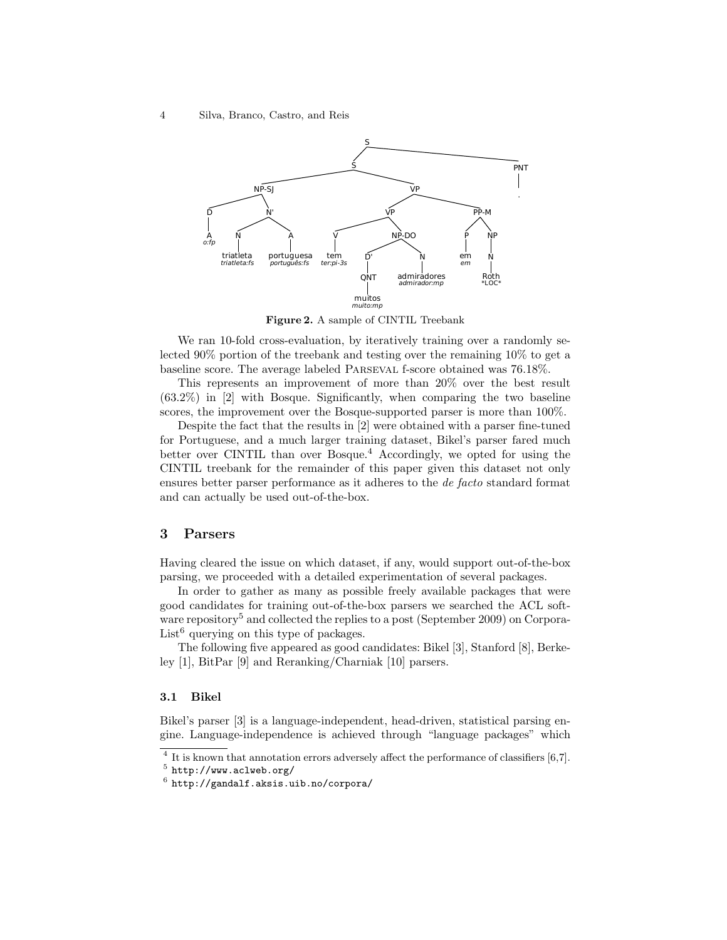4 Silva, Branco, Castro, and Reis



Figure 2. A sample of CINTIL Treebank

We ran 10-fold cross-evaluation, by iteratively training over a randomly selected 90% portion of the treebank and testing over the remaining 10% to get a baseline score. The average labeled Parseval f-score obtained was 76*.*18%.

This represents an improvement of more than 20% over the best result (63*.*2%) in [2] with Bosque. Significantly, when comparing the two baseline scores, the improvement over the Bosque-supported parser is more than  $100\%$ .

Despite the fact that the results in [2] were obtained with a parser fine-tuned for Portuguese, and a much larger training dataset, Bikel's parser fared much better over CINTIL than over Bosque.<sup>4</sup> Accordingly, we opted for using the CINTIL treebank for the remainder of this paper given this dataset not only ensures better parser performance as it adheres to the *de facto* standard format and can actually be used out-of-the-box.

# 3 Parsers

Having cleared the issue on which dataset, if any, would support out-of-the-box parsing, we proceeded with a detailed experimentation of several packages.

In order to gather as many as possible freely available packages that were good candidates for training out-of-the-box parsers we searched the ACL software repository<sup>5</sup> and collected the replies to a post (September 2009) on Corpora- $List<sup>6</sup>$  querying on this type of packages.

The following five appeared as good candidates: Bikel [3], Stanford [8], Berkeley [1], BitPar [9] and Reranking/Charniak [10] parsers.

#### 3.1 Bikel

Bikel's parser [3] is a language-independent, head-driven, statistical parsing engine. Language-independence is achieved through "language packages" which

 $^4$  It is known that annotation errors adversely affect the performance of classifiers  $\left[6,7\right]$ .

 $5$  http://www.aclweb.org/

<sup>6</sup> http://gandalf.aksis.uib.no/corpora/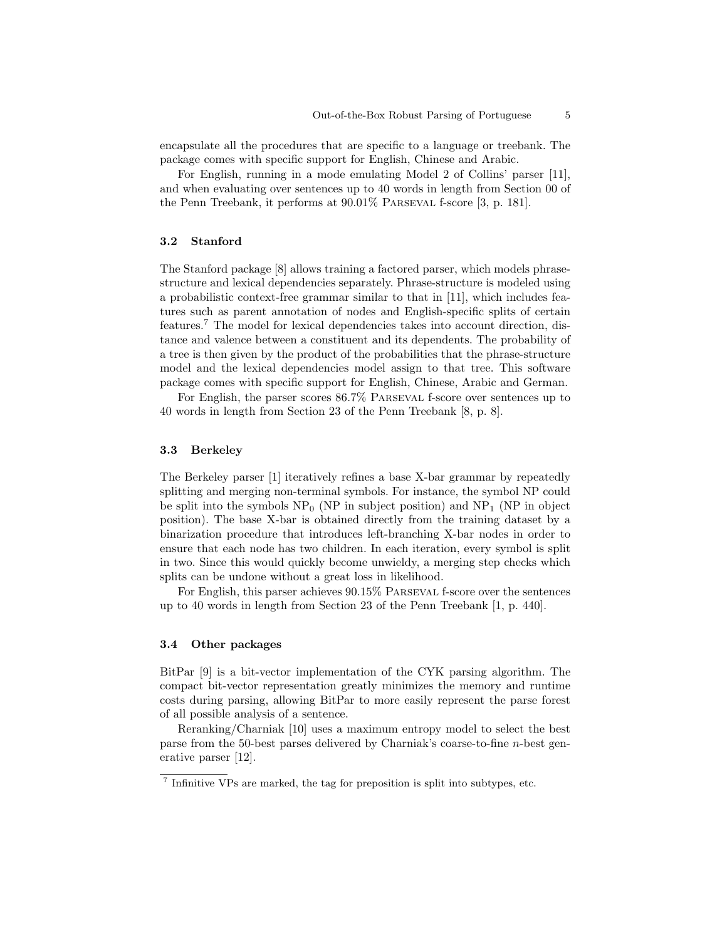encapsulate all the procedures that are specific to a language or treebank. The package comes with specific support for English, Chinese and Arabic.

For English, running in a mode emulating Model 2 of Collins' parser [11], and when evaluating over sentences up to 40 words in length from Section 00 of the Penn Treebank, it performs at 90*.*01% Parseval f-score [3, p. 181].

### 3.2 Stanford

The Stanford package [8] allows training a factored parser, which models phrasestructure and lexical dependencies separately. Phrase-structure is modeled using a probabilistic context-free grammar similar to that in [11], which includes features such as parent annotation of nodes and English-specific splits of certain features.<sup>7</sup> The model for lexical dependencies takes into account direction, distance and valence between a constituent and its dependents. The probability of a tree is then given by the product of the probabilities that the phrase-structure model and the lexical dependencies model assign to that tree. This software package comes with specific support for English, Chinese, Arabic and German.

For English, the parser scores 86*.*7% Parseval f-score over sentences up to 40 words in length from Section 23 of the Penn Treebank [8, p. 8].

#### 3.3 Berkeley

The Berkeley parser [1] iteratively refines a base X-bar grammar by repeatedly splitting and merging non-terminal symbols. For instance, the symbol NP could be split into the symbols  $NP_0$  (NP in subject position) and  $NP_1$  (NP in object position). The base X-bar is obtained directly from the training dataset by a binarization procedure that introduces left-branching X-bar nodes in order to ensure that each node has two children. In each iteration, every symbol is split in two. Since this would quickly become unwieldy, a merging step checks which splits can be undone without a great loss in likelihood.

For English, this parser achieves 90*.*15% Parseval f-score over the sentences up to 40 words in length from Section 23 of the Penn Treebank [1, p. 440].

### 3.4 Other packages

BitPar [9] is a bit-vector implementation of the CYK parsing algorithm. The compact bit-vector representation greatly minimizes the memory and runtime costs during parsing, allowing BitPar to more easily represent the parse forest of all possible analysis of a sentence.

Reranking/Charniak [10] uses a maximum entropy model to select the best parse from the 50-best parses delivered by Charniak's coarse-to-fine *n*-best generative parser [12].

<sup>7</sup> Infinitive VPs are marked, the tag for preposition is split into subtypes, etc.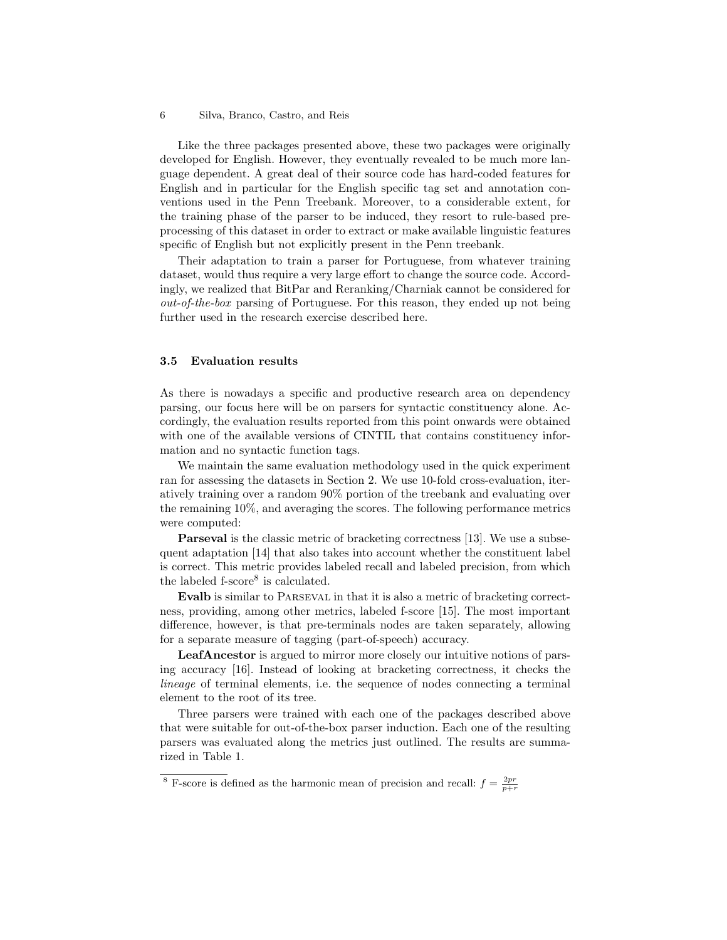#### 6 Silva, Branco, Castro, and Reis

Like the three packages presented above, these two packages were originally developed for English. However, they eventually revealed to be much more language dependent. A great deal of their source code has hard-coded features for English and in particular for the English specific tag set and annotation conventions used in the Penn Treebank. Moreover, to a considerable extent, for the training phase of the parser to be induced, they resort to rule-based preprocessing of this dataset in order to extract or make available linguistic features specific of English but not explicitly present in the Penn treebank.

Their adaptation to train a parser for Portuguese, from whatever training dataset, would thus require a very large effort to change the source code. Accordingly, we realized that BitPar and Reranking/Charniak cannot be considered for *out-of-the-box* parsing of Portuguese. For this reason, they ended up not being further used in the research exercise described here.

### 3.5 Evaluation results

As there is nowadays a specific and productive research area on dependency parsing, our focus here will be on parsers for syntactic constituency alone. Accordingly, the evaluation results reported from this point onwards were obtained with one of the available versions of CINTIL that contains constituency information and no syntactic function tags.

We maintain the same evaluation methodology used in the quick experiment ran for assessing the datasets in Section 2. We use 10-fold cross-evaluation, iteratively training over a random 90% portion of the treebank and evaluating over the remaining 10%, and averaging the scores. The following performance metrics were computed:

Parseval is the classic metric of bracketing correctness [13]. We use a subsequent adaptation [14] that also takes into account whether the constituent label is correct. This metric provides labeled recall and labeled precision, from which the labeled f-score<sup>8</sup> is calculated.

Evalb is similar to Parseval in that it is also a metric of bracketing correctness, providing, among other metrics, labeled f-score [15]. The most important difference, however, is that pre-terminals nodes are taken separately, allowing for a separate measure of tagging (part-of-speech) accuracy.

LeafAncestor is argued to mirror more closely our intuitive notions of parsing accuracy [16]. Instead of looking at bracketing correctness, it checks the *lineage* of terminal elements, i.e. the sequence of nodes connecting a terminal element to the root of its tree.

Three parsers were trained with each one of the packages described above that were suitable for out-of-the-box parser induction. Each one of the resulting parsers was evaluated along the metrics just outlined. The results are summarized in Table 1.

<sup>&</sup>lt;sup>8</sup> F-score is defined as the harmonic mean of precision and recall:  $f = \frac{2pr}{p+r}$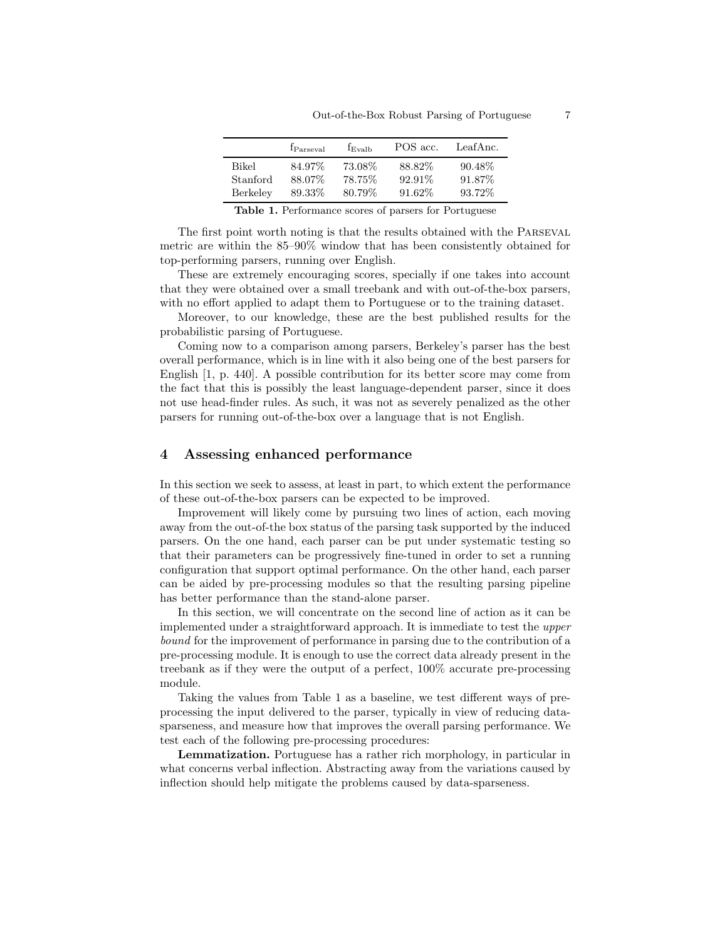|              | <i>E</i> Parseval | $f_{\rm Evaluate}$ | POS acc. | LeafAnc.  |
|--------------|-------------------|--------------------|----------|-----------|
| <b>Bikel</b> | 84.97%            | 73.08%             | 88.82\%  | $90.48\%$ |
| Stanford     | 88.07%            | 78.75%             | 92.91\%  | 91.87%    |
| Berkeley     | 89.33%            | 80.79%             | 91.62\%  | 93.72\%   |

Table 1. Performance scores of parsers for Portuguese

The first point worth noting is that the results obtained with the Parseval metric are within the 85–90% window that has been consistently obtained for top-performing parsers, running over English.

These are extremely encouraging scores, specially if one takes into account that they were obtained over a small treebank and with out-of-the-box parsers, with no effort applied to adapt them to Portuguese or to the training dataset.

Moreover, to our knowledge, these are the best published results for the probabilistic parsing of Portuguese.

Coming now to a comparison among parsers, Berkeley's parser has the best overall performance, which is in line with it also being one of the best parsers for English [1, p. 440]. A possible contribution for its better score may come from the fact that this is possibly the least language-dependent parser, since it does not use head-finder rules. As such, it was not as severely penalized as the other parsers for running out-of-the-box over a language that is not English.

### 4 Assessing enhanced performance

In this section we seek to assess, at least in part, to which extent the performance of these out-of-the-box parsers can be expected to be improved.

Improvement will likely come by pursuing two lines of action, each moving away from the out-of-the box status of the parsing task supported by the induced parsers. On the one hand, each parser can be put under systematic testing so that their parameters can be progressively fine-tuned in order to set a running configuration that support optimal performance. On the other hand, each parser can be aided by pre-processing modules so that the resulting parsing pipeline has better performance than the stand-alone parser.

In this section, we will concentrate on the second line of action as it can be implemented under a straightforward approach. It is immediate to test the *upper bound* for the improvement of performance in parsing due to the contribution of a pre-processing module. It is enough to use the correct data already present in the treebank as if they were the output of a perfect, 100% accurate pre-processing module.

Taking the values from Table 1 as a baseline, we test different ways of preprocessing the input delivered to the parser, typically in view of reducing datasparseness, and measure how that improves the overall parsing performance. We test each of the following pre-processing procedures:

Lemmatization. Portuguese has a rather rich morphology, in particular in what concerns verbal inflection. Abstracting away from the variations caused by inflection should help mitigate the problems caused by data-sparseness.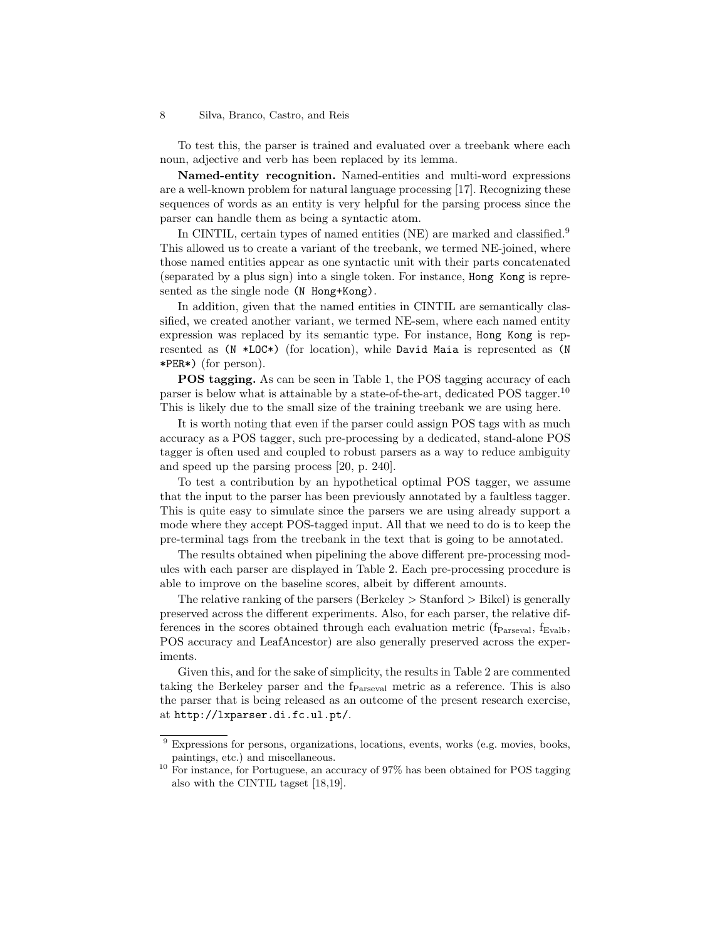#### 8 Silva, Branco, Castro, and Reis

To test this, the parser is trained and evaluated over a treebank where each noun, adjective and verb has been replaced by its lemma.

Named-entity recognition. Named-entities and multi-word expressions are a well-known problem for natural language processing [17]. Recognizing these sequences of words as an entity is very helpful for the parsing process since the parser can handle them as being a syntactic atom.

In CINTIL, certain types of named entities (NE) are marked and classified.<sup>9</sup> This allowed us to create a variant of the treebank, we termed NE-joined, where those named entities appear as one syntactic unit with their parts concatenated (separated by a plus sign) into a single token. For instance, Hong Kong is represented as the single node (N Hong+Kong).

In addition, given that the named entities in CINTIL are semantically classified, we created another variant, we termed NE-sem, where each named entity expression was replaced by its semantic type. For instance, Hong Kong is represented as (N \*LOC\*) (for location), while David Maia is represented as (N \*PER\*) (for person).

POS tagging. As can be seen in Table 1, the POS tagging accuracy of each parser is below what is attainable by a state-of-the-art, dedicated POS tagger.<sup>10</sup> This is likely due to the small size of the training treebank we are using here.

It is worth noting that even if the parser could assign POS tags with as much accuracy as a POS tagger, such pre-processing by a dedicated, stand-alone POS tagger is often used and coupled to robust parsers as a way to reduce ambiguity and speed up the parsing process [20, p. 240].

To test a contribution by an hypothetical optimal POS tagger, we assume that the input to the parser has been previously annotated by a faultless tagger. This is quite easy to simulate since the parsers we are using already support a mode where they accept POS-tagged input. All that we need to do is to keep the pre-terminal tags from the treebank in the text that is going to be annotated.

The results obtained when pipelining the above different pre-processing modules with each parser are displayed in Table 2. Each pre-processing procedure is able to improve on the baseline scores, albeit by different amounts.

The relative ranking of the parsers (Berkeley *>* Stanford *>* Bikel) is generally preserved across the different experiments. Also, for each parser, the relative differences in the scores obtained through each evaluation metric  $(f_{\text{Parseval}}, f_{\text{Evalb}})$ POS accuracy and LeafAncestor) are also generally preserved across the experiments.

Given this, and for the sake of simplicity, the results in Table 2 are commented taking the Berkeley parser and the f<sub>Parseval</sub> metric as a reference. This is also the parser that is being released as an outcome of the present research exercise, at http://lxparser.di.fc.ul.pt/.

 $^9$  Expressions for persons, organizations, locations, events, works (e.g. movies, books, paintings, etc.) and miscellaneous.

<sup>10</sup> For instance, for Portuguese, an accuracy of 97% has been obtained for POS tagging also with the CINTIL tagset [18,19].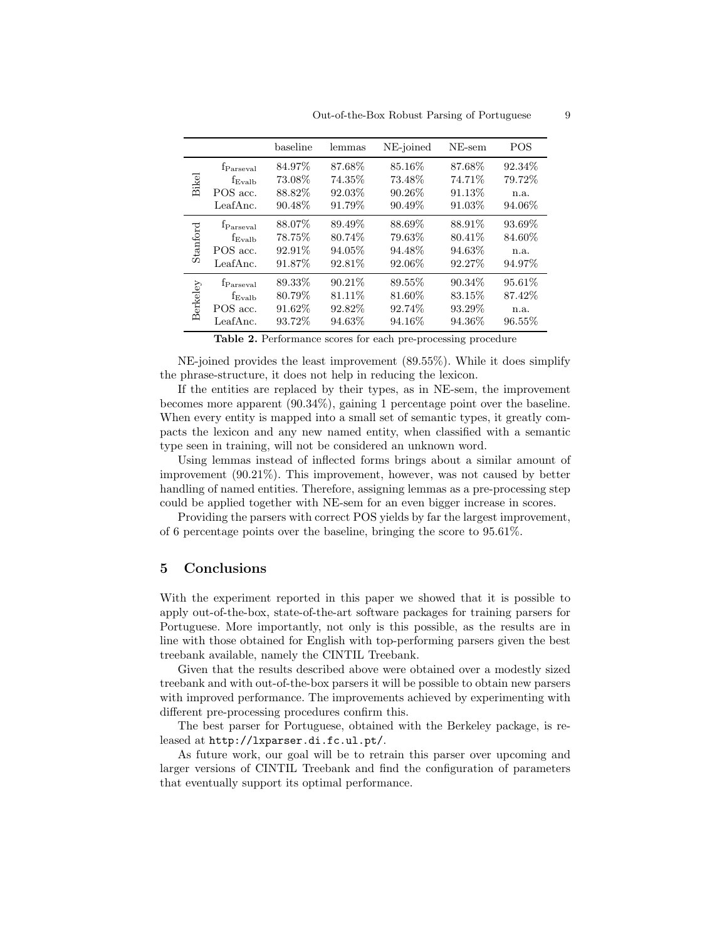|          |                       | baseline | lemmas  | NE-joined | $NE$ -sem | <b>POS</b> |
|----------|-----------------------|----------|---------|-----------|-----------|------------|
| Bikel    | f <sub>Parseval</sub> | 84.97%   | 87.68%  | 85.16\%   | 87.68%    | 92.34\%    |
|          | $f_{\rm{Evalb}}$      | 73.08%   | 74.35%  | 73.48%    | 74.71%    | 79.72%     |
|          | POS acc.              | 88.82%   | 92.03%  | 90.26\%   | 91.13%    | n.a.       |
|          | LeafAnc.              | 90.48%   | 91.79%  | 90.49\%   | 91.03%    | 94.06%     |
| Stanford | <i>f</i> Parseval     | 88.07%   | 89.49%  | 88.69%    | 88.91%    | 93.69%     |
|          | $f_{\rm{Evalb}}$      | 78.75%   | 80.74%  | 79.63%    | 80.41\%   | 84.60%     |
|          | POS acc.              | 92.91%   | 94.05%  | 94.48\%   | 94.63%    | n.a.       |
|          | LeafAnc.              | 91.87%   | 92.81\% | 92.06%    | 92.27%    | 94.97%     |
| Berkeley | f <sub>Parseval</sub> | 89.33%   | 90.21\% | 89.55%    | 90.34%    | 95.61%     |
|          | $f_{\rm{Evalb}}$      | 80.79%   | 81.11\% | 81.60%    | 83.15%    | 87.42%     |
|          | POS acc.              | 91.62%   | 92.82%  | 92.74\%   | 93.29%    | n.a.       |
|          | LeafAnc.              | 93.72%   | 94.63%  | 94.16%    | 94.36%    | 96.55%     |

Table 2. Performance scores for each pre-processing procedure

NE-joined provides the least improvement (89*.*55%). While it does simplify the phrase-structure, it does not help in reducing the lexicon.

If the entities are replaced by their types, as in NE-sem, the improvement becomes more apparent (90*.*34%), gaining 1 percentage point over the baseline. When every entity is mapped into a small set of semantic types, it greatly compacts the lexicon and any new named entity, when classified with a semantic type seen in training, will not be considered an unknown word.

Using lemmas instead of inflected forms brings about a similar amount of improvement (90*.*21%). This improvement, however, was not caused by better handling of named entities. Therefore, assigning lemmas as a pre-processing step could be applied together with NE-sem for an even bigger increase in scores.

Providing the parsers with correct POS yields by far the largest improvement, of 6 percentage points over the baseline, bringing the score to 95*.*61%.

# 5 Conclusions

With the experiment reported in this paper we showed that it is possible to apply out-of-the-box, state-of-the-art software packages for training parsers for Portuguese. More importantly, not only is this possible, as the results are in line with those obtained for English with top-performing parsers given the best treebank available, namely the CINTIL Treebank.

Given that the results described above were obtained over a modestly sized treebank and with out-of-the-box parsers it will be possible to obtain new parsers with improved performance. The improvements achieved by experimenting with different pre-processing procedures confirm this.

The best parser for Portuguese, obtained with the Berkeley package, is released at http://lxparser.di.fc.ul.pt/.

As future work, our goal will be to retrain this parser over upcoming and larger versions of CINTIL Treebank and find the configuration of parameters that eventually support its optimal performance.